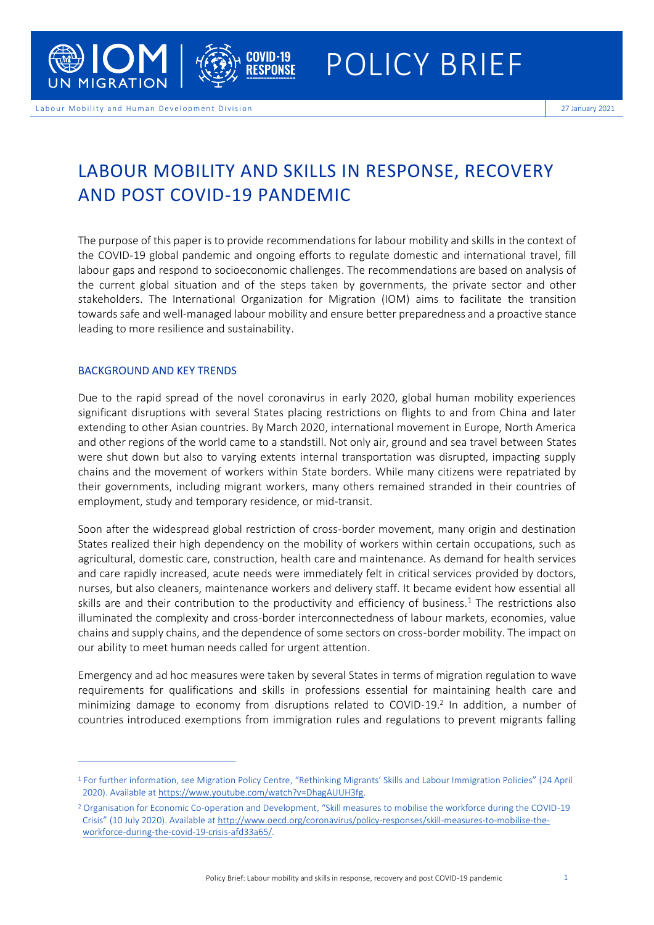

# LABOUR MOBILITY AND SKILLS IN RESPONSE, RECOVERY AND POST COVID-19 PANDEMIC

The purpose of this paper is to provide recommendations for labour mobility and skills in the context of the COVID-19 global pandemic and ongoing efforts to regulate domestic and international travel, fill labour gaps and respond to socioeconomic challenges. The recommendations are based on analysis of the current global situation and of the steps taken by governments, the private sector and other stakeholders. The International Organization for Migration (IOM) aims to facilitate the transition towards safe and well-managed labour mobility and ensure better preparedness and a proactive stance leading to more resilience and sustainability.

### BACKGROUND AND KEY TRENDS

Due to the rapid spread of the novel coronavirus in early 2020, global human mobility experiences significant disruptions with several States placing restrictions on flights to and from China and later extending to other Asian countries. By March 2020, international movement in Europe, North America and other regions of the world came to a standstill. Not only air, ground and sea travel between States were shut down but also to varying extents internal transportation was disrupted, impacting supply chains and the movement of workers within State borders. While many citizens were repatriated by their governments, including migrant workers, many others remained stranded in their countries of employment, study and temporary residence, or mid-transit.

Soon after the widespread global restriction of cross-border movement, many origin and destination States realized their high dependency on the mobility of workers within certain occupations, such as agricultural, domestic care, construction, health care and maintenance. As demand for health services and care rapidly increased, acute needs were immediately felt in critical servicesprovided by doctors, nurses, but also cleaners, maintenance workers and delivery staff. It became evident how essential all skills are and their contribution to the productivity and efficiency of business.<sup>1</sup> The restrictions also illuminated the complexity and cross-border interconnectedness of labour markets, economies, value chains and supply chains, and the dependence of some sectors on cross-border mobility. The impact on our ability to meet human needs called for urgent attention.

Emergency and ad hoc measures were taken by several States in terms of migration regulation to wave requirements for qualifications and skillsin professions essential for maintaining health care and minimizing damage to economy from disruptions related to COVID-19. 2 In addition, a number of countries introduced exemptions from immigration rules and regulations to prevent migrants falling

<sup>1</sup> For further information, see Migration Policy Centre, "Rethinking Migrants' Skills and Labour Immigration Policies" (24 April 2020). Available a[t https://www.youtube.com/watch?v=DhagAUUH3fg.](https://www.youtube.com/watch?v=DhagAUUH3fg)

<sup>&</sup>lt;sup>2</sup> Organisation for Economic Co-operation and Development, "Skill measures to mobilise the workforce during the COVID-19 Crisis" (10 July 2020). Available at [http://www.oecd.org/coronavirus/policy-responses/skill-measures-to-mobilise-the](http://www.oecd.org/coronavirus/policy-responses/skill-measures-to-mobilise-the-workforce-during-the-covid-19-crisis-afd33a65/)[workforce-during-the-covid-19-crisis-afd33a65/.](http://www.oecd.org/coronavirus/policy-responses/skill-measures-to-mobilise-the-workforce-during-the-covid-19-crisis-afd33a65/)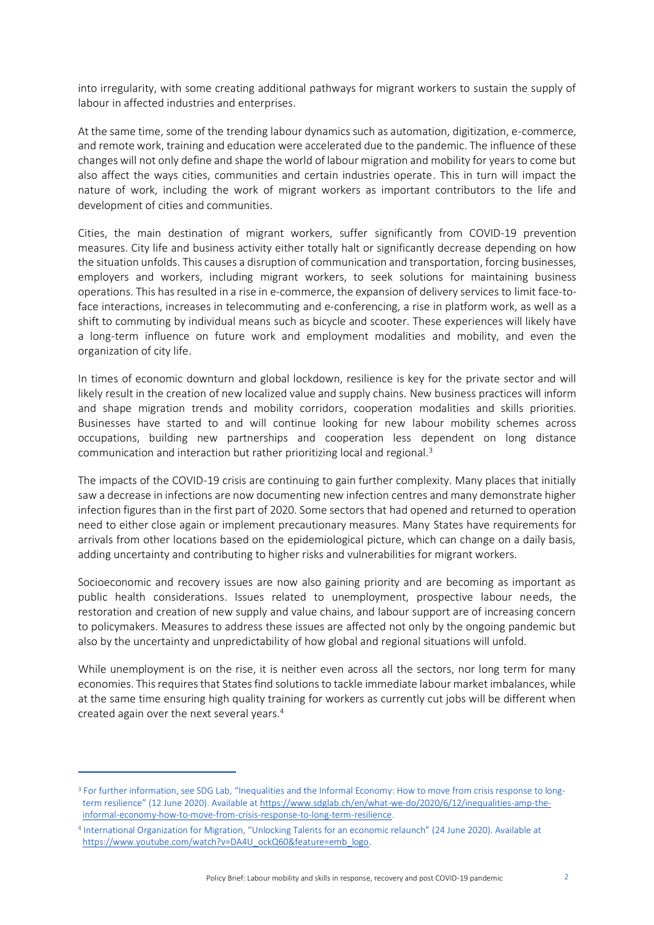into irregularity, with some creating additional pathways for migrant workers to sustain the supply of labour in affected industries and enterprises.

At the same time, some of the trending labour dynamics such as automation, digitization, e-commerce, and remote work, training and education were accelerated due to the pandemic. The influence of these changes will not only define and shape the world of labour migration and mobility for years to come but also affect the ways cities, communities and certain industries operate. This in turn will impact the nature of work, including the work of migrant workers as important contributors to the life and development of cities and communities.

Cities, the main destination of migrant workers, suffer significantly from COVID-19 prevention measures. City life and business activity either totally halt or significantly decrease depending on how the situation unfolds. This causes a disruption of communication and transportation, forcing businesses, employers and workers, including migrant workers, to seek solutions for maintaining business operations. This has resulted in a rise in e-commerce, the expansion of delivery services to limit face-toface interactions, increases in telecommuting and e-conferencing, a rise in platform work, as well as a shift to commuting by individual means such as bicycle and scooter. These experiences will likely have a long-term influence on future work and employment modalities and mobility, and even the organization of city life.

In times of economic downturn and global lockdown, resilience is key for the private sector and will likely result in the creation of new localized value and supply chains. New business practices will inform and shape migration trends and mobility corridors, cooperation modalities and skills priorities. Businesses have started to and will continue looking for new labour mobility schemes across occupations, building new partnerships and cooperation less dependent on long distance communication and interaction but rather prioritizing local and regional.<sup>3</sup>

The impacts of the COVID-19 crisis are continuing to gain further complexity. Many places that initially saw a decrease in infections are now documenting new infection centres and many demonstrate higher infection figures than in the first part of 2020. Some sectors that had opened and returned to operation need to either close again or implement precautionary measures. Many States have requirements for arrivals from other locations based on the epidemiological picture, which can change on a daily basis, adding uncertainty and contributing to higher risks and vulnerabilities for migrant workers.

Socioeconomic and recovery issues are now also gaining priority and are becoming as important as public health considerations. Issues related to unemployment, prospective labour needs, the restoration and creation of new supply and value chains, and labour support are of increasing concern to policymakers. Measures to address these issues are affected not only by the ongoing pandemic but also by the uncertainty and unpredictability of how global and regional situations will unfold.

While unemployment is on the rise, it is neither even across all the sectors, nor long term for many economies. This requires that States find solutions to tackle immediate labour market imbalances, while at the same time ensuring high quality training for workers as currently cut jobs will be different when created again over the next several years.<sup>4</sup>

<sup>&</sup>lt;sup>3</sup> For further information, see SDG Lab, "Inequalities and the Informal Economy: How to move from crisis response to longterm resilience" (12 June 2020). Available at [https://www.sdglab.ch/en/what-we-do/2020/6/12/inequalities-amp-the](https://www.sdglab.ch/en/what-we-do/2020/6/12/inequalities-amp-the-informal-economy-how-to-move-from-crisis-response-to-long-term-resilience)[informal-economy-how-to-move-from-crisis-response-to-long-term-resilience.](https://www.sdglab.ch/en/what-we-do/2020/6/12/inequalities-amp-the-informal-economy-how-to-move-from-crisis-response-to-long-term-resilience)

<sup>4</sup> International Organization for Migration, "Unlocking Talents for an economic relaunch" (24 June 2020). Available at [https://www.youtube.com/watch?v=DA4U\\_ockQ60&feature=emb\\_logo.](https://www.youtube.com/watch?v=DA4U_ockQ60&feature=emb_logo)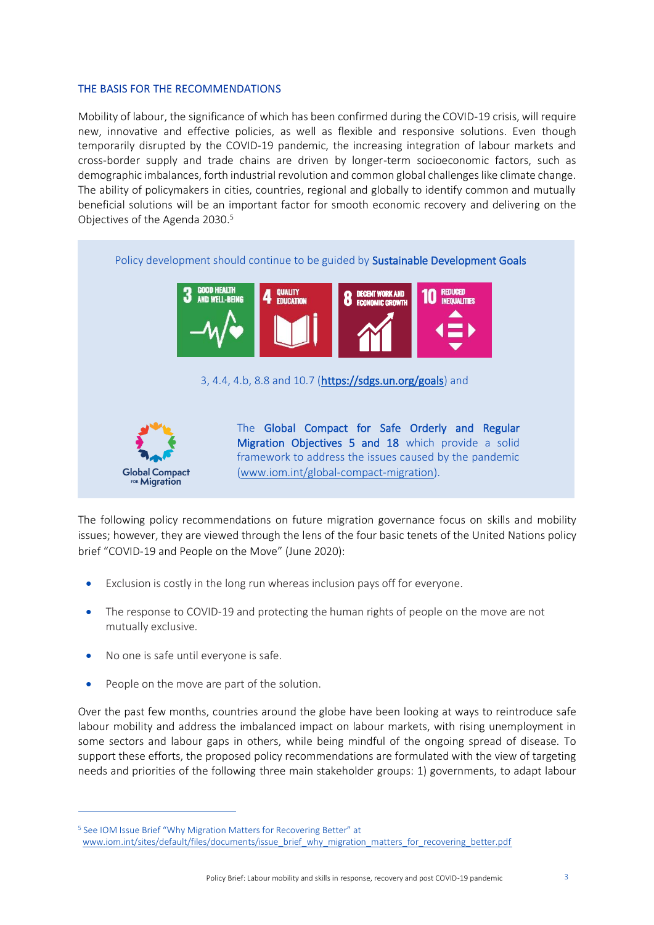### THE BASIS FOR THE RECOMMENDATIONS

Mobility of labour, the significance of which has been confirmed during the COVID-19 crisis, will require new, innovative and effective policies, as well as flexible and responsive solutions. Even though temporarily disrupted by the COVID-19 pandemic, the increasing integration of labour markets and cross-border supply and trade chains are driven by longer-term socioeconomic factors, such as demographic imbalances, forth industrial revolution and common global challenges like climate change. The ability of policymakers in cities, countries, regional and globally to identify common and mutually beneficial solutions will be an important factor for smooth economic recovery and delivering on the Objectives of the Agenda 2030. 5



The following policy recommendations on future migration governance focus on skills and mobility issues; however, they are viewed through the lens of the four basic tenets of the United Nations policy brief "COVID-19 and People on the Move" (June 2020):

- Exclusion is costly in the long run whereas inclusion pays off for everyone.
- The response to COVID-19 and protecting the human rights of people on the move are not mutually exclusive.
- No one is safe until everyone is safe.
- People on the move are part of the solution.

Over the past few months, countries around the globe have been looking at ways to reintroduce safe labour mobility and address the imbalanced impact on labour markets, with rising unemployment in some sectors and labour gaps in others, while being mindful of the ongoing spread of disease. To support these efforts, the proposed policy recommendations are formulated with the view of targeting needs and priorities of the following three main stakeholder groups: 1) governments, to adapt labour

<sup>5</sup> See IOM Issue Brief "Why Migration Matters for Recovering Better" at

[www.iom.int/sites/default/files/documents/issue\\_brief\\_why\\_migration\\_matters\\_for\\_recovering\\_better.pdf](https://www.iom.int/sites/default/files/documents/issue_brief_why_migration_matters_for_recovering_better.pdf)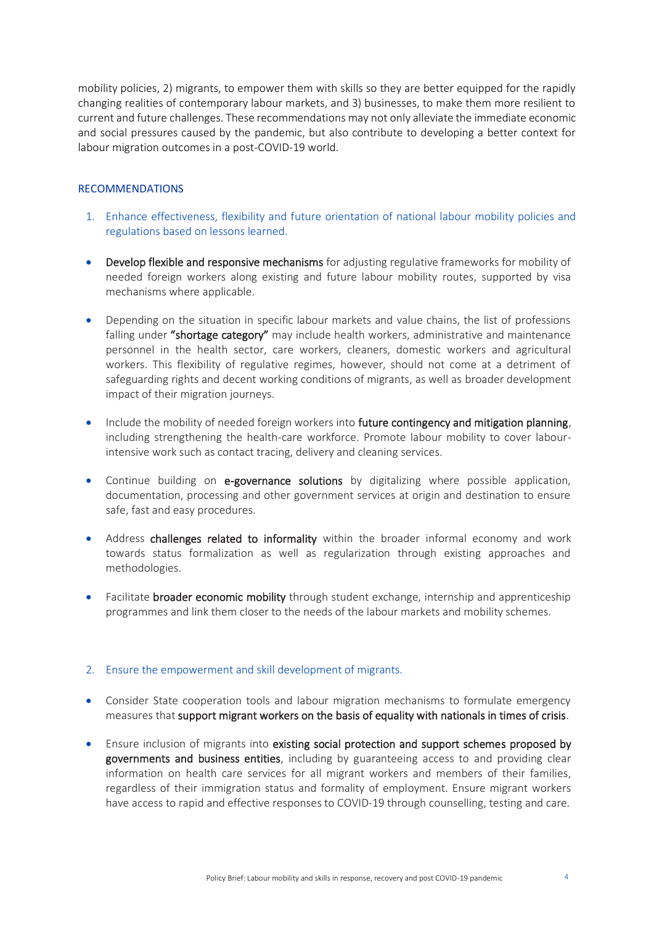mobility policies, 2) migrants, to empower them with skills so they are better equipped for the rapidly changing realities of contemporary labour markets, and 3) businesses, to make them more resilient to current and future challenges. These recommendations may not only alleviate the immediate economic and social pressures caused by the pandemic, but also contribute to developing a better context for labour migration outcomes in a post-COVID-19 world.

## RECOMMENDATIONS

- 1. Enhance effectiveness, flexibility and future orientation of national labour mobility policies and regulations based on lessons learned.
- Develop flexible and responsive mechanisms for adjusting regulative frameworks for mobility of needed foreign workers along existing and future labour mobility routes, supported by visa mechanisms where applicable.
- Depending on the situation in specific labour markets and value chains, the list of professions falling under "shortage category" may include health workers, administrative and maintenance personnel in the health sector, care workers, cleaners, domestic workers and agricultural workers. This flexibility of regulative regimes, however, should not come at a detriment of safeguarding rights and decent working conditions of migrants, as well as broader development impact of their migration journeys.
- Include the mobility of needed foreign workers into future contingency and mitigation planning, including strengthening the health-care workforce. Promote labour mobility to cover labourintensive work such as contact tracing, delivery and cleaning services.
- Continue building on e-governance solutions by digitalizing where possible application, documentation, processing and other government services at origin and destination to ensure safe, fast and easy procedures.
- Address challenges related to informality within the broader informal economy and work towards status formalization as well as regularization through existing approaches and methodologies.
- Facilitate broader economic mobility through student exchange, internship and apprenticeship programmes and link them closer to the needs of the labour markets and mobility schemes.

## 2. Ensure the empowerment and skill development of migrants.

- Consider State cooperation tools and labour migration mechanisms to formulate emergency measures that support migrant workers on the basis of equality with nationals in times of crisis.
- Ensure inclusion of migrants into existing social protection and support schemes proposed by governments and business entities, including by guaranteeing access to and providing clear information on health care services for all migrant workers and members of their families, regardless of their immigration status and formality of employment. Ensure migrant workers have access to rapid and effective responses to COVID-19 through counselling, testing and care.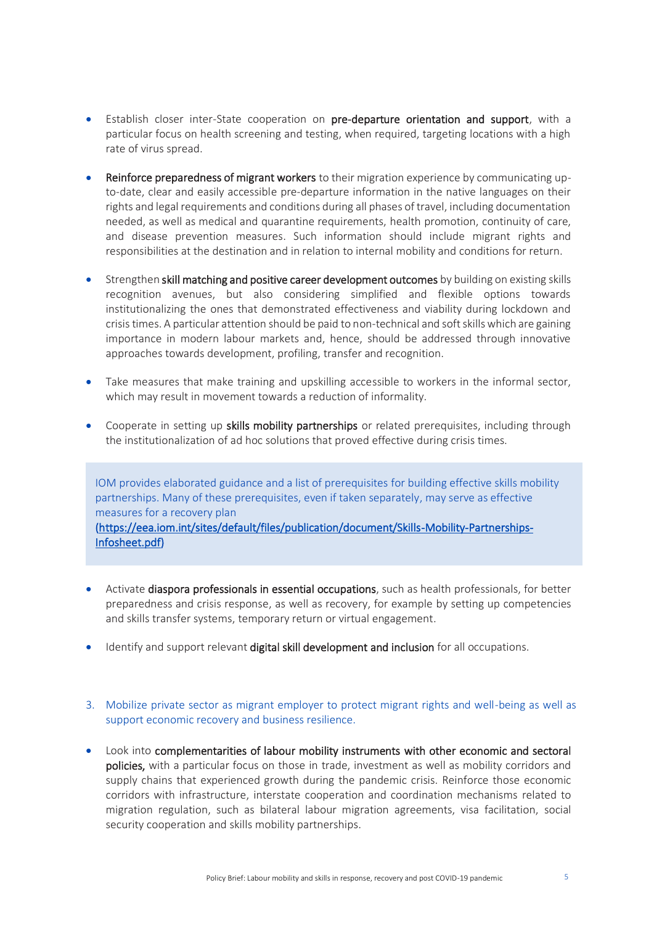- Establish closer inter-State cooperation on pre-departure orientation and support, with a particular focus on health screening and testing, when required, targeting locations with a high rate of virus spread.
- Reinforce preparedness of migrant workers to their migration experience by communicating upto-date, clear and easily accessible pre-departure information in the native languages on their rights and legal requirements and conditions during all phases of travel, including documentation needed, as well as medical and quarantine requirements, health promotion, continuity of care, and disease prevention measures. Such information should include migrant rights and responsibilities at the destination and in relation to internal mobility and conditions for return.
- Strengthen skill matching and positive career development outcomes by building on existing skills recognition avenues, but also considering simplified and flexible options towards institutionalizing the ones that demonstrated effectiveness and viability during lockdown and crisis times. A particular attention should be paid to non-technical and soft skills which are gaining importance in modern labour markets and, hence, should be addressed through innovative approaches towards development, profiling, transfer and recognition.
- Take measures that make training and upskilling accessible to workers in the informal sector, which may result in movement towards a reduction of informality.
- Cooperate in setting up skills mobility partnerships or related prerequisites, including through the institutionalization of ad hoc solutions that proved effective during crisis times.

IOM provides elaborated guidance and a list of prerequisites for building effective skills mobility partnerships. Many of these prerequisites, even if taken separately, may serve as effective measures for a recovery plan (https://eea.iom.int/sites/default/files/publication/document/Skills-Mobility-Partnerships-Infosheet.pdf)

- Activate diaspora professionals in essential occupations, such as health professionals, for better preparedness and crisis response, as well as recovery, for example by setting up competencies and skills transfer systems, temporary return or virtual engagement.
- Identify and support relevant digital skill development and inclusion for all occupations.
- 3. Mobilize private sector as migrant employer to protect migrant rights and well-being as well as support economic recovery and business resilience.
- Look into complementarities of labour mobility instruments with other economic and sectoral policies, with a particular focus on those in trade, investment as well as mobility corridors and supply chains that experienced growth during the pandemic crisis. Reinforce those economic corridors with infrastructure, interstate cooperation and coordination mechanisms related to migration regulation, such as bilateral labour migration agreements, visa facilitation, social security cooperation and skills mobility partnerships.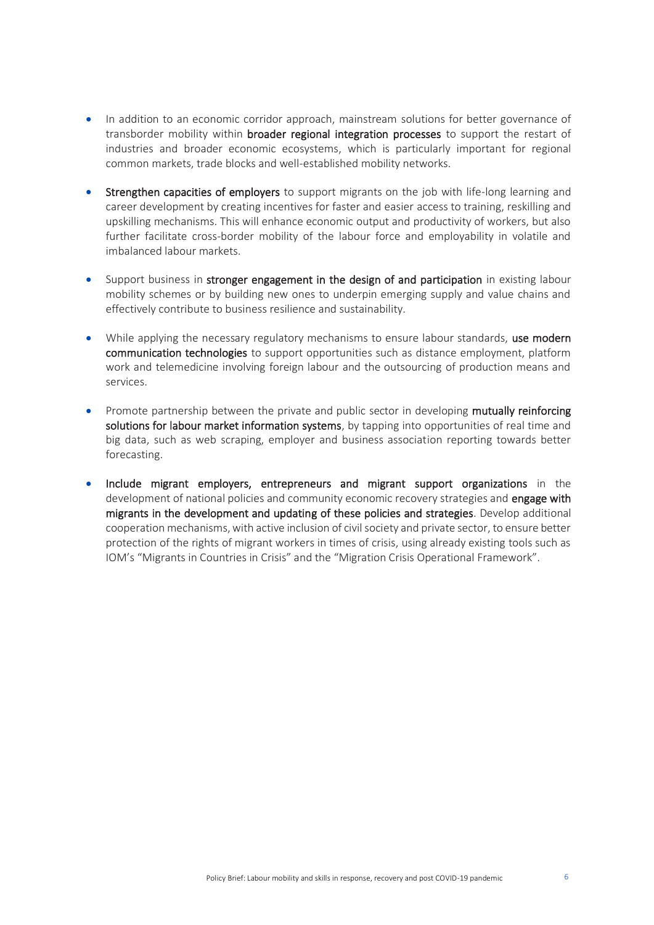- In addition to an economic corridor approach, mainstream solutions for better governance of transborder mobility within broader regional integration processes to support the restart of industries and broader economic ecosystems, which is particularly important for regional common markets, trade blocks and well-established mobility networks.
- Strengthen capacities of employers to support migrants on the job with life-long learning and career development by creating incentives for faster and easier access to training, reskilling and upskilling mechanisms. This will enhance economic output and productivity of workers, but also further facilitate cross-border mobility of the labour force and employability in volatile and imbalanced labour markets.
- Support business in stronger engagement in the design of and participation in existing labour mobility schemes or by building new ones to underpin emerging supply and value chains and effectively contribute to business resilience and sustainability.
- While applying the necessary regulatory mechanisms to ensure labour standards, use modern communication technologies to support opportunities such as distance employment, platform work and telemedicine involving foreign labour and the outsourcing of production means and services.
- Promote partnership between the private and public sector in developing mutually reinforcing solutions for labour market information systems, by tapping into opportunities of real time and big data, such as web scraping, employer and business association reporting towards better forecasting.
- Include migrant employers, entrepreneurs and migrant support organizations in the development of national policies and community economic recovery strategies and engage with migrants in the development and updating of these policies and strategies. Develop additional cooperation mechanisms, with active inclusion of civil society and private sector, to ensure better protection of the rights of migrant workers in times of crisis, using already existing tools such as IOM's "Migrants in Countries in Crisis" and the "Migration Crisis Operational Framework".